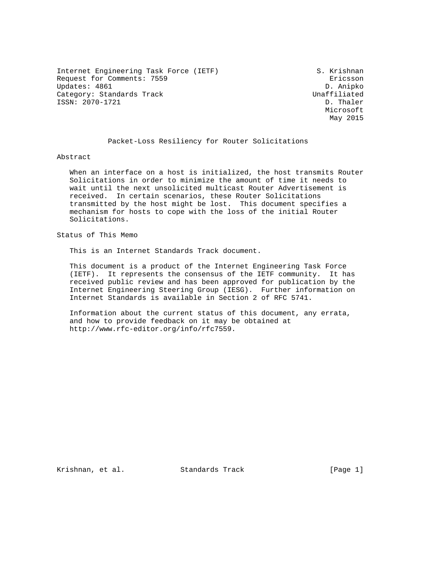Internet Engineering Task Force (IETF) S. Krishnan Request for Comments: 7559 Ericsson Updates: 4861 D. Anipko Category: Standards Track Unaffiliated Unaffiliated Unaffiliated Unaffiliated Unaffiliated Unaffiliated Unaffiliated ISSN: 2070-1721

 Microsoft May 2015

### Packet-Loss Resiliency for Router Solicitations

Abstract

 When an interface on a host is initialized, the host transmits Router Solicitations in order to minimize the amount of time it needs to wait until the next unsolicited multicast Router Advertisement is received. In certain scenarios, these Router Solicitations transmitted by the host might be lost. This document specifies a mechanism for hosts to cope with the loss of the initial Router Solicitations.

Status of This Memo

This is an Internet Standards Track document.

 This document is a product of the Internet Engineering Task Force (IETF). It represents the consensus of the IETF community. It has received public review and has been approved for publication by the Internet Engineering Steering Group (IESG). Further information on Internet Standards is available in Section 2 of RFC 5741.

 Information about the current status of this document, any errata, and how to provide feedback on it may be obtained at http://www.rfc-editor.org/info/rfc7559.

Krishnan, et al. Standards Track [Page 1]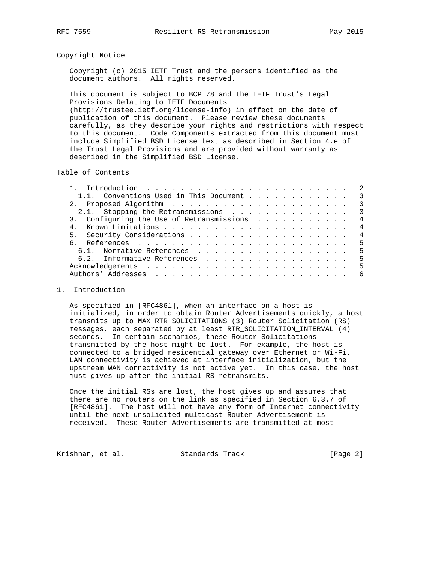## Copyright Notice

 Copyright (c) 2015 IETF Trust and the persons identified as the document authors. All rights reserved.

 This document is subject to BCP 78 and the IETF Trust's Legal Provisions Relating to IETF Documents (http://trustee.ietf.org/license-info) in effect on the date of publication of this document. Please review these documents carefully, as they describe your rights and restrictions with respect to this document. Code Components extracted from this document must include Simplified BSD License text as described in Section 4.e of the Trust Legal Provisions and are provided without warranty as described in the Simplified BSD License.

Table of Contents

| 1.1. Conventions Used in This Document 3  |                           |
|-------------------------------------------|---------------------------|
|                                           | $\overline{\phantom{a}3}$ |
|                                           | $\overline{\phantom{a}}$  |
| 3. Configuring the Use of Retransmissions | $\overline{4}$            |
|                                           | $\overline{4}$            |
|                                           | $\overline{4}$            |
|                                           |                           |
| 6.1. Normative References 5               |                           |
| 6.2. Informative References 5             |                           |
|                                           |                           |
|                                           | -6                        |
|                                           |                           |

## 1. Introduction

 As specified in [RFC4861], when an interface on a host is initialized, in order to obtain Router Advertisements quickly, a host transmits up to MAX\_RTR\_SOLICITATIONS (3) Router Solicitation (RS) messages, each separated by at least RTR\_SOLICITATION\_INTERVAL (4) seconds. In certain scenarios, these Router Solicitations transmitted by the host might be lost. For example, the host is connected to a bridged residential gateway over Ethernet or Wi-Fi. LAN connectivity is achieved at interface initialization, but the upstream WAN connectivity is not active yet. In this case, the host just gives up after the initial RS retransmits.

 Once the initial RSs are lost, the host gives up and assumes that there are no routers on the link as specified in Section 6.3.7 of [RFC4861]. The host will not have any form of Internet connectivity until the next unsolicited multicast Router Advertisement is received. These Router Advertisements are transmitted at most

Krishnan, et al. Standards Track [Page 2]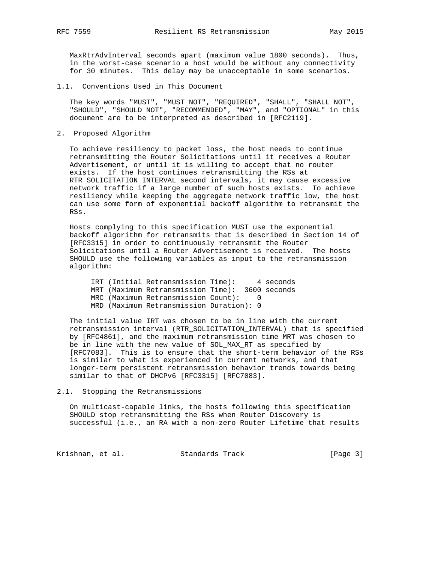MaxRtrAdvInterval seconds apart (maximum value 1800 seconds). Thus, in the worst-case scenario a host would be without any connectivity for 30 minutes. This delay may be unacceptable in some scenarios.

1.1. Conventions Used in This Document

 The key words "MUST", "MUST NOT", "REQUIRED", "SHALL", "SHALL NOT", "SHOULD", "SHOULD NOT", "RECOMMENDED", "MAY", and "OPTIONAL" in this document are to be interpreted as described in [RFC2119].

2. Proposed Algorithm

 To achieve resiliency to packet loss, the host needs to continue retransmitting the Router Solicitations until it receives a Router Advertisement, or until it is willing to accept that no router exists. If the host continues retransmitting the RSs at RTR\_SOLICITATION\_INTERVAL second intervals, it may cause excessive network traffic if a large number of such hosts exists. To achieve resiliency while keeping the aggregate network traffic low, the host can use some form of exponential backoff algorithm to retransmit the RSs.

 Hosts complying to this specification MUST use the exponential backoff algorithm for retransmits that is described in Section 14 of [RFC3315] in order to continuously retransmit the Router Solicitations until a Router Advertisement is received. The hosts SHOULD use the following variables as input to the retransmission algorithm:

 IRT (Initial Retransmission Time): 4 seconds MRT (Maximum Retransmission Time): 3600 seconds MRC (Maximum Retransmission Count): 0 MRD (Maximum Retransmission Duration): 0

 The initial value IRT was chosen to be in line with the current retransmission interval (RTR\_SOLICITATION\_INTERVAL) that is specified by [RFC4861], and the maximum retransmission time MRT was chosen to be in line with the new value of SOL\_MAX\_RT as specified by [RFC7083]. This is to ensure that the short-term behavior of the RSs is similar to what is experienced in current networks, and that longer-term persistent retransmission behavior trends towards being similar to that of DHCPv6 [RFC3315] [RFC7083].

2.1. Stopping the Retransmissions

 On multicast-capable links, the hosts following this specification SHOULD stop retransmitting the RSs when Router Discovery is successful (i.e., an RA with a non-zero Router Lifetime that results

Krishnan, et al. Standards Track [Page 3]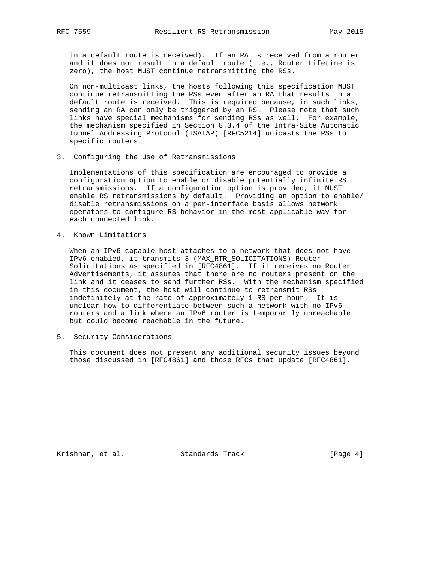in a default route is received). If an RA is received from a router and it does not result in a default route (i.e., Router Lifetime is zero), the host MUST continue retransmitting the RSs.

 On non-multicast links, the hosts following this specification MUST continue retransmitting the RSs even after an RA that results in a default route is received. This is required because, in such links, sending an RA can only be triggered by an RS. Please note that such links have special mechanisms for sending RSs as well. For example, the mechanism specified in Section 8.3.4 of the Intra-Site Automatic Tunnel Addressing Protocol (ISATAP) [RFC5214] unicasts the RSs to specific routers.

3. Configuring the Use of Retransmissions

 Implementations of this specification are encouraged to provide a configuration option to enable or disable potentially infinite RS retransmissions. If a configuration option is provided, it MUST enable RS retransmissions by default. Providing an option to enable/ disable retransmissions on a per-interface basis allows network operators to configure RS behavior in the most applicable way for each connected link.

4. Known Limitations

 When an IPv6-capable host attaches to a network that does not have IPv6 enabled, it transmits 3 (MAX\_RTR\_SOLICITATIONS) Router Solicitations as specified in [RFC4861]. If it receives no Router Advertisements, it assumes that there are no routers present on the link and it ceases to send further RSs. With the mechanism specified in this document, the host will continue to retransmit RSs indefinitely at the rate of approximately 1 RS per hour. It is unclear how to differentiate between such a network with no IPv6 routers and a link where an IPv6 router is temporarily unreachable but could become reachable in the future.

5. Security Considerations

 This document does not present any additional security issues beyond those discussed in [RFC4861] and those RFCs that update [RFC4861].

Krishnan, et al. Standards Track [Page 4]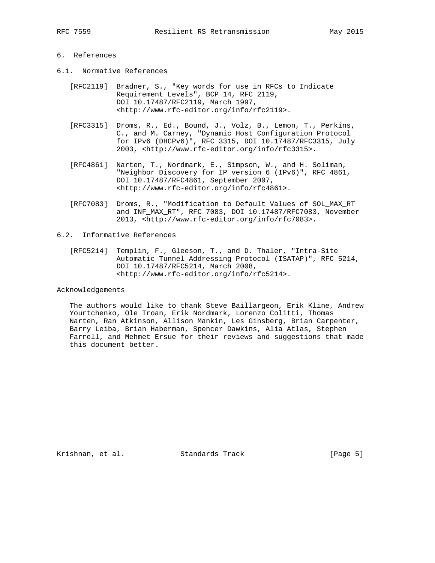# 6. References

- 6.1. Normative References
	- [RFC2119] Bradner, S., "Key words for use in RFCs to Indicate Requirement Levels", BCP 14, RFC 2119, DOI 10.17487/RFC2119, March 1997, <http://www.rfc-editor.org/info/rfc2119>.
	- [RFC3315] Droms, R., Ed., Bound, J., Volz, B., Lemon, T., Perkins, C., and M. Carney, "Dynamic Host Configuration Protocol for IPv6 (DHCPv6)", RFC 3315, DOI 10.17487/RFC3315, July 2003, <http://www.rfc-editor.org/info/rfc3315>.
	- [RFC4861] Narten, T., Nordmark, E., Simpson, W., and H. Soliman, "Neighbor Discovery for IP version 6 (IPv6)", RFC 4861, DOI 10.17487/RFC4861, September 2007, <http://www.rfc-editor.org/info/rfc4861>.
	- [RFC7083] Droms, R., "Modification to Default Values of SOL\_MAX\_RT and INF\_MAX\_RT", RFC 7083, DOI 10.17487/RFC7083, November 2013, <http://www.rfc-editor.org/info/rfc7083>.

## 6.2. Informative References

 [RFC5214] Templin, F., Gleeson, T., and D. Thaler, "Intra-Site Automatic Tunnel Addressing Protocol (ISATAP)", RFC 5214, DOI 10.17487/RFC5214, March 2008, <http://www.rfc-editor.org/info/rfc5214>.

#### Acknowledgements

 The authors would like to thank Steve Baillargeon, Erik Kline, Andrew Yourtchenko, Ole Troan, Erik Nordmark, Lorenzo Colitti, Thomas Narten, Ran Atkinson, Allison Mankin, Les Ginsberg, Brian Carpenter, Barry Leiba, Brian Haberman, Spencer Dawkins, Alia Atlas, Stephen Farrell, and Mehmet Ersue for their reviews and suggestions that made this document better.

Krishnan, et al. Standards Track [Page 5]